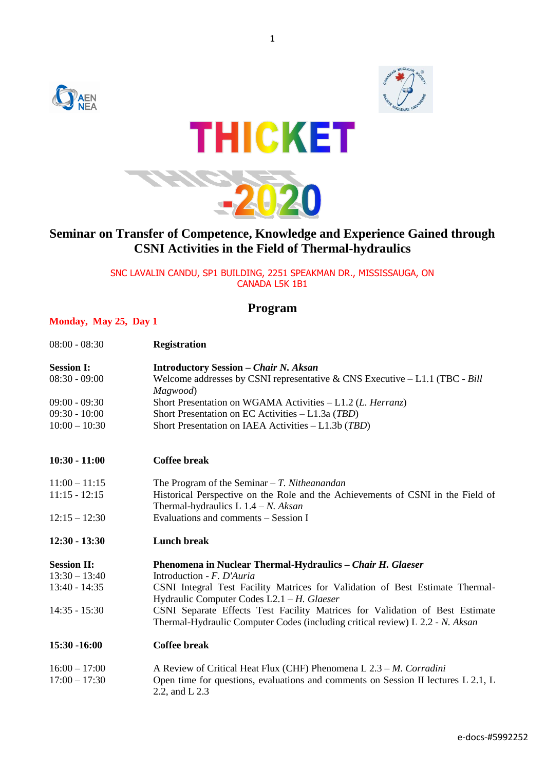





### **Seminar on Transfer of Competence, Knowledge and Experience Gained through CSNI Activities in the Field of Thermal-hydraulics**

SNC LAVALIN CANDU, SP1 BUILDING, 2251 SPEAKMAN DR., MISSISSAUGA, ON CANADA L5K 1B1

### **Program**

#### **Monday, May 25, Day 1**

| $08:00 - 08:30$                    | <b>Registration</b>                                                                                                                                                                                            |
|------------------------------------|----------------------------------------------------------------------------------------------------------------------------------------------------------------------------------------------------------------|
| <b>Session I:</b>                  | <b>Introductory Session – Chair N. Aksan</b>                                                                                                                                                                   |
| $08:30 - 09:00$                    | Welcome addresses by CSNI representative & CNS Executive $-L1.1$ (TBC - Bill<br>Magwood)                                                                                                                       |
| $09:00 - 09:30$                    | Short Presentation on WGAMA Activities - L1.2 (L. Herranz)                                                                                                                                                     |
| $09:30 - 10:00$                    | Short Presentation on EC Activities $-L1.3a$ (TBD)                                                                                                                                                             |
| $10:00 - 10:30$                    | Short Presentation on IAEA Activities - L1.3b (TBD)                                                                                                                                                            |
| $10:30 - 11:00$                    | <b>Coffee break</b>                                                                                                                                                                                            |
| $11:00 - 11:15$                    | The Program of the Seminar $-T$ . Nitheanandan                                                                                                                                                                 |
| $11:15 - 12:15$                    | Historical Perspective on the Role and the Achievements of CSNI in the Field of<br>Thermal-hydraulics L $1.4 - N$ . Aksan                                                                                      |
| $12:15 - 12:30$                    | Evaluations and comments - Session I                                                                                                                                                                           |
| $12:30 - 13:30$                    | <b>Lunch break</b>                                                                                                                                                                                             |
| <b>Session II:</b>                 | Phenomena in Nuclear Thermal-Hydraulics - Chair H. Glaeser                                                                                                                                                     |
| $13:30 - 13:40$<br>$13:40 - 14:35$ | Introduction - F. D'Auria<br>CSNI Integral Test Facility Matrices for Validation of Best Estimate Thermal-                                                                                                     |
| $14:35 - 15:30$                    | Hydraulic Computer Codes $L2.1 - H$ . Glaeser<br>CSNI Separate Effects Test Facility Matrices for Validation of Best Estimate<br>Thermal-Hydraulic Computer Codes (including critical review) L 2.2 - N. Aksan |
| 15:30 -16:00                       | <b>Coffee break</b>                                                                                                                                                                                            |
| $16:00 - 17:00$                    | A Review of Critical Heat Flux (CHF) Phenomena L 2.3 - M. Corradini                                                                                                                                            |
| $17:00 - 17:30$                    | Open time for questions, evaluations and comments on Session II lectures L 2.1, L<br>2.2, and L 2.3                                                                                                            |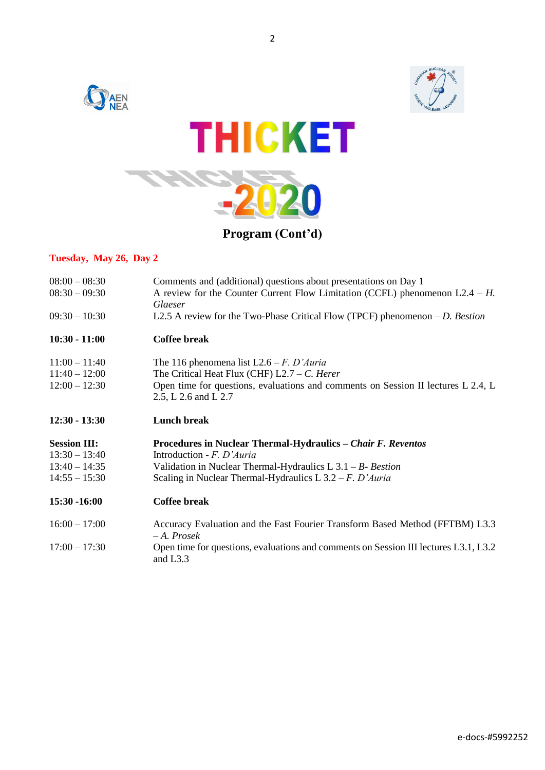

### **Tuesday, May 26, Day 2**

| $08:00 - 08:30$<br>$08:30 - 09:30$ | Comments and (additional) questions about presentations on Day 1<br>A review for the Counter Current Flow Limitation (CCFL) phenomenon $L2.4 - H$ .<br>Glaeser |
|------------------------------------|----------------------------------------------------------------------------------------------------------------------------------------------------------------|
| $09:30 - 10:30$                    | L2.5 A review for the Two-Phase Critical Flow (TPCF) phenomenon $-D$ . Bestion                                                                                 |
| $10:30 - 11:00$                    | <b>Coffee break</b>                                                                                                                                            |
| $11:00 - 11:40$                    | The 116 phenomena list $L2.6 - F$ . <i>D'Auria</i>                                                                                                             |
| $11:40 - 12:00$                    | The Critical Heat Flux (CHF) $L2.7 - C$ . Herer                                                                                                                |
| $12:00 - 12:30$                    | Open time for questions, evaluations and comments on Session II lectures L 2.4, L<br>2.5, L 2.6 and L 2.7                                                      |
| $12:30 - 13:30$                    | <b>Lunch break</b>                                                                                                                                             |
| <b>Session III:</b>                | Procedures in Nuclear Thermal-Hydraulics – Chair F. Reventos                                                                                                   |
| $13:30 - 13:40$                    | Introduction - $F. D'Auria$                                                                                                                                    |
| $13:40 - 14:35$                    | Validation in Nuclear Thermal-Hydraulics L $3.1 - B$ - Bestion                                                                                                 |
| $14:55 - 15:30$                    | Scaling in Nuclear Thermal-Hydraulics L $3.2 - F$ . D'Auria                                                                                                    |
| 15:30 -16:00                       | <b>Coffee break</b>                                                                                                                                            |
| $16:00 - 17:00$                    | Accuracy Evaluation and the Fast Fourier Transform Based Method (FFTBM) L3.3<br>$-A. Prosek$                                                                   |
| $17:00 - 17:30$                    | Open time for questions, evaluations and comments on Session III lectures L3.1, L3.2<br>and L3.3                                                               |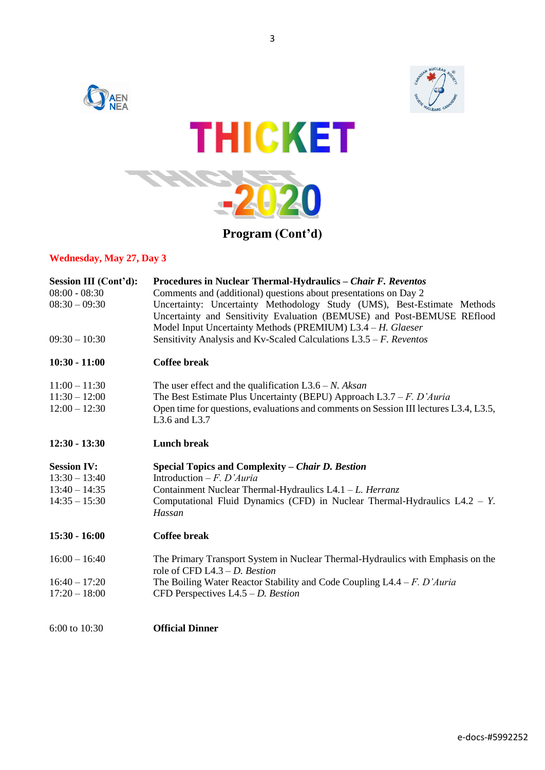

#### **Wednesday, May 27, Day 3**

| <b>Session III (Cont'd):</b> | Procedures in Nuclear Thermal-Hydraulics – Chair F. Reventos                                                       |
|------------------------------|--------------------------------------------------------------------------------------------------------------------|
| $08:00 - 08:30$              | Comments and (additional) questions about presentations on Day 2                                                   |
| $08:30 - 09:30$              | Uncertainty: Uncertainty Methodology Study (UMS), Best-Estimate Methods                                            |
|                              | Uncertainty and Sensitivity Evaluation (BEMUSE) and Post-BEMUSE REflood                                            |
|                              | Model Input Uncertainty Methods (PREMIUM) L3.4 - H. Glaeser                                                        |
| $09:30 - 10:30$              | Sensitivity Analysis and Kv-Scaled Calculations $L3.5 - F$ . Reventos                                              |
| $10:30 - 11:00$              | <b>Coffee break</b>                                                                                                |
| $11:00 - 11:30$              | The user effect and the qualification $L3.6 - N. Aksan$                                                            |
| $11:30 - 12:00$              | The Best Estimate Plus Uncertainty (BEPU) Approach $L3.7 - F$ . D'Auria                                            |
| $12:00 - 12:30$              | Open time for questions, evaluations and comments on Session III lectures L3.4, L3.5,<br>L3.6 and L3.7             |
| $12:30 - 13:30$              | <b>Lunch break</b>                                                                                                 |
| <b>Session IV:</b>           | Special Topics and Complexity – Chair D. Bestion                                                                   |
| $13:30 - 13:40$              | Introduction $-F. D'Auria$                                                                                         |
| $13:40 - 14:35$              | Containment Nuclear Thermal-Hydraulics L4.1 - L. Herranz                                                           |
| $14:35 - 15:30$              | Computational Fluid Dynamics (CFD) in Nuclear Thermal-Hydraulics $L4.2 - Y$ .                                      |
|                              | Hassan                                                                                                             |
| $15:30 - 16:00$              | <b>Coffee break</b>                                                                                                |
| $16:00 - 16:40$              | The Primary Transport System in Nuclear Thermal-Hydraulics with Emphasis on the<br>role of CFD $L4.3 - D.$ Bestion |
| $16:40 - 17:20$              | The Boiling Water Reactor Stability and Code Coupling $L4.4 - F$ . D'Auria                                         |
| $17:20 - 18:00$              | CFD Perspectives $L4.5 - D$ . Bestion                                                                              |
| 6:00 to 10:30                | <b>Official Dinner</b>                                                                                             |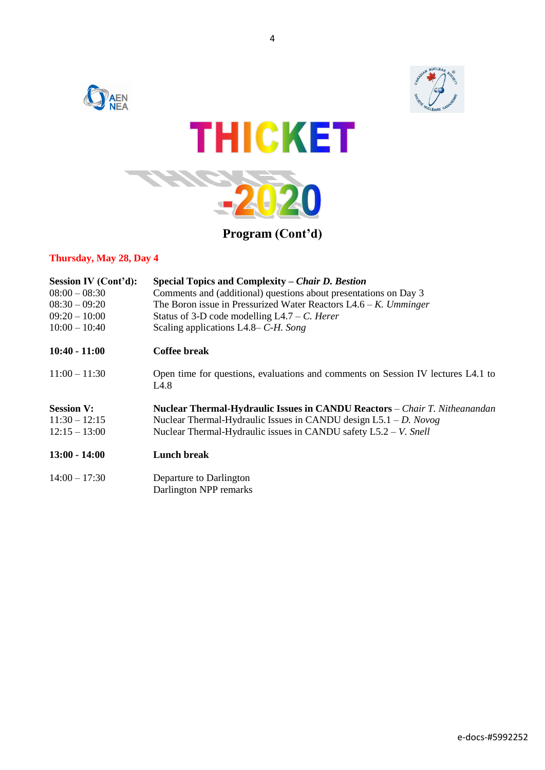

### **Thursday, May 28, Day 4**

| Session IV (Cont'd): | Special Topics and Complexity – Chair D. Bestion                                         |
|----------------------|------------------------------------------------------------------------------------------|
| $08:00 - 08:30$      | Comments and (additional) questions about presentations on Day 3                         |
| $08:30 - 09:20$      | The Boron issue in Pressurized Water Reactors $L4.6 - K$ . Umminger                      |
| $09:20 - 10:00$      | Status of 3-D code modelling $L4.7 - C$ . Here r                                         |
| $10:00 - 10:40$      | Scaling applications L4.8– $C$ -H. Song                                                  |
| $10:40 - 11:00$      | <b>Coffee break</b>                                                                      |
| $11:00 - 11:30$      | Open time for questions, evaluations and comments on Session IV lectures L4.1 to<br>L4.8 |
| <b>Session V:</b>    | <b>Nuclear Thermal-Hydraulic Issues in CANDU Reactors – Chair T. Nitheanandan</b>        |
| $11:30 - 12:15$      | Nuclear Thermal-Hydraulic Issues in CANDU design $L5.1 - D. Novog$                       |
| $12:15 - 13:00$      | Nuclear Thermal-Hydraulic issues in CANDU safety $L5.2 - V$ . Snell                      |
| $13:00 - 14:00$      | <b>Lunch break</b>                                                                       |
| $14:00 - 17:30$      | Departure to Darlington<br>Darlington NPP remarks                                        |